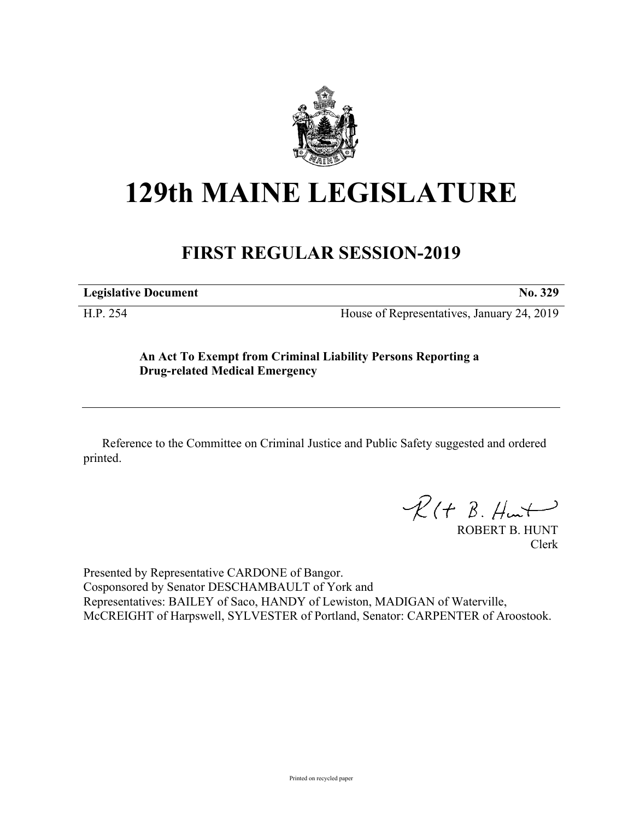

# **129th MAINE LEGISLATURE**

## **FIRST REGULAR SESSION-2019**

**Legislative Document No. 329**

H.P. 254 House of Representatives, January 24, 2019

### **An Act To Exempt from Criminal Liability Persons Reporting a Drug-related Medical Emergency**

Reference to the Committee on Criminal Justice and Public Safety suggested and ordered printed.

 $R(H B. H<sub>un</sub>+)$ 

ROBERT B. HUNT Clerk

Presented by Representative CARDONE of Bangor. Cosponsored by Senator DESCHAMBAULT of York and Representatives: BAILEY of Saco, HANDY of Lewiston, MADIGAN of Waterville, McCREIGHT of Harpswell, SYLVESTER of Portland, Senator: CARPENTER of Aroostook.